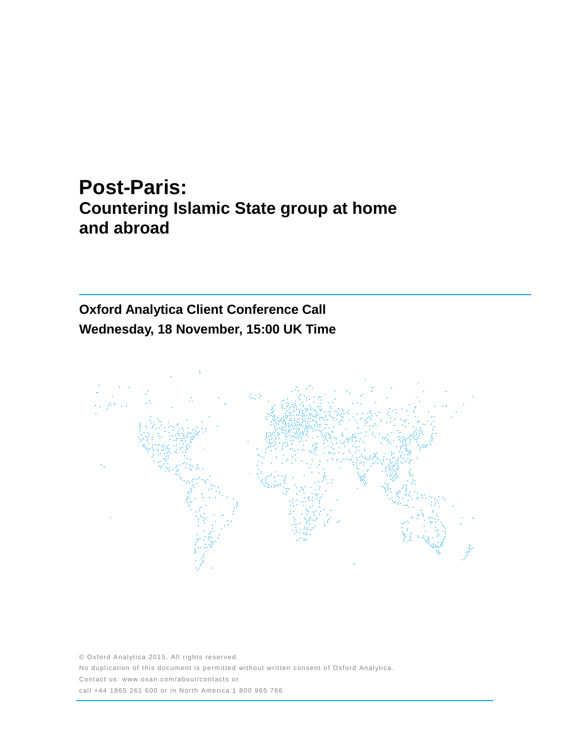# **Post-Paris: Countering Islamic State group at home and abroad**

# **Oxford Analytica Client Conference Call Wednesday, 18 November, 15:00 UK Time**



© Oxford Analytica 2015. All rights reserved. No duplication of this document is permitted without written consent of Oxford Analytica. Contact us: www.oxan.com/about/contacts or call +44 1865 261 600 or in North America 1 800 965 766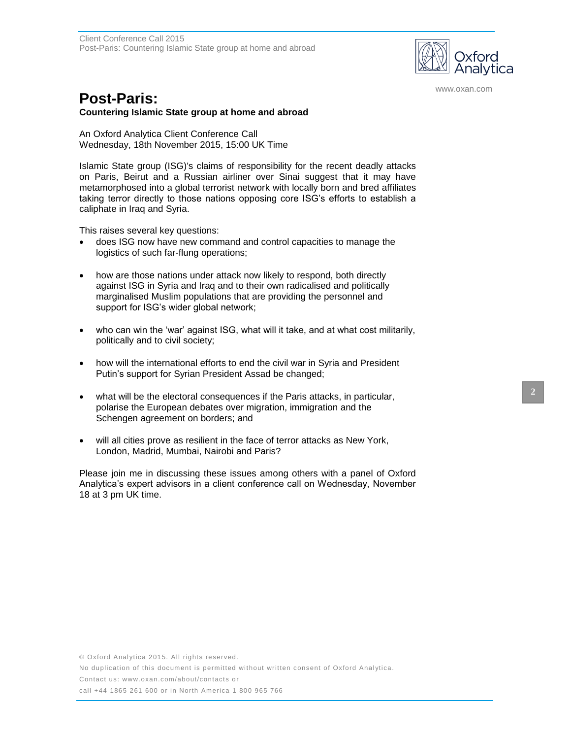

www.oxan.com

# **Post-Paris:**

### **Countering Islamic State group at home and abroad**

An Oxford Analytica Client Conference Call Wednesday, 18th November 2015, 15:00 UK Time

Islamic State group (ISG)'s claims of responsibility for the recent deadly attacks on Paris, Beirut and a Russian airliner over Sinai suggest that it may have metamorphosed into a global terrorist network with locally born and bred affiliates taking terror directly to those nations opposing core ISG's efforts to establish a caliphate in Iraq and Syria.

This raises several key questions:

- does ISG now have new command and control capacities to manage the logistics of such far-flung operations;
- how are those nations under attack now likely to respond, both directly against ISG in Syria and Iraq and to their own radicalised and politically marginalised Muslim populations that are providing the personnel and support for ISG's wider global network;
- who can win the 'war' against ISG, what will it take, and at what cost militarily, politically and to civil society;
- how will the international efforts to end the civil war in Syria and President Putin's support for Syrian President Assad be changed;
- what will be the electoral consequences if the Paris attacks, in particular, polarise the European debates over migration, immigration and the Schengen agreement on borders; and
- will all cities prove as resilient in the face of terror attacks as New York, London, Madrid, Mumbai, Nairobi and Paris?

Please join me in discussing these issues among others with a panel of Oxford Analytica's expert advisors in a client conference call on Wednesday, November 18 at 3 pm UK time.

No duplication of this document is permitted without written consent of Oxford Analytica.

Contact us: www.oxan.com/about/contacts or

call +44 1865 261 600 or in North America 1 800 965 766

**2**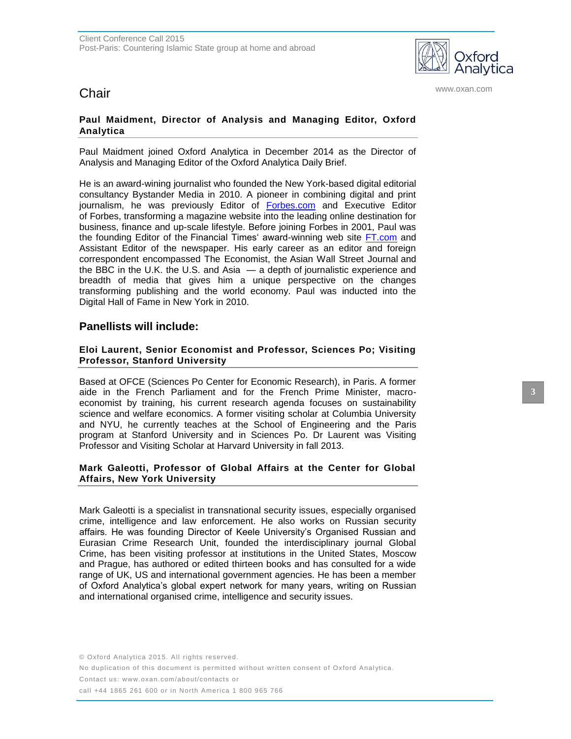

**Chair** www.oxan.com **Chair** 

# **Paul Maidment, Director of Analysis and Managing Editor, Oxford Analytica**

Paul Maidment joined Oxford Analytica in December 2014 as the Director of Analysis and Managing Editor of the Oxford Analytica Daily Brief.

He is an award-wining journalist who founded the New York-based digital editorial consultancy Bystander Media in 2010. A pioneer in combining digital and print journalism, he was previously Editor of [Forbes.com](http://forbes.com/) and Executive Editor of Forbes, transforming a magazine website into the leading online destination for business, finance and up-scale lifestyle. Before joining Forbes in 2001, Paul was the founding Editor of the Financial Times' award-winning web site [FT.com](http://ft.com/) and Assistant Editor of the newspaper. His early career as an editor and foreign correspondent encompassed The Economist, the Asian Wall Street Journal and the BBC in the U.K. the U.S. and Asia — a depth of journalistic experience and breadth of media that gives him a unique perspective on the changes transforming publishing and the world economy. Paul was inducted into the Digital Hall of Fame in New York in 2010.

# **Panellists will include:**

# **Eloi Laurent, Senior Economist and Professor, Sciences Po; Visiting Professor, Stanford University**

Based at OFCE (Sciences Po Center for Economic Research), in Paris. A former aide in the French Parliament and for the French Prime Minister, macroeconomist by training, his current research agenda focuses on sustainability science and welfare economics. A former visiting scholar at Columbia University and NYU, he currently teaches at the School of Engineering and the Paris program at Stanford University and in Sciences Po. Dr Laurent was Visiting Professor and Visiting Scholar at Harvard University in fall 2013.

## **Mark Galeotti, Professor of Global Affairs at the Center for Global Affairs, New York University**

Mark Galeotti is a specialist in transnational security issues, especially organised crime, intelligence and law enforcement. He also works on Russian security affairs. He was founding Director of Keele University's Organised Russian and Eurasian Crime Research Unit, founded the interdisciplinary journal Global Crime, has been visiting professor at institutions in the United States, Moscow and Prague, has authored or edited thirteen books and has consulted for a wide range of UK, US and international government agencies. He has been a member of Oxford Analytica's global expert network for many years, writing on Russian and international organised crime, intelligence and security issues.